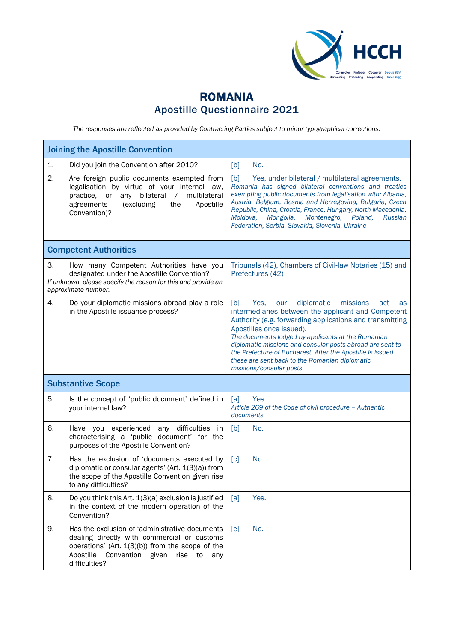

## ROMANIA Apostille Questionnaire 2021

*The responses are reflected as provided by Contracting Parties subject to minor typographical corrections.*

| <b>Joining the Apostille Convention</b> |                                                                                                                                                                                                                                 |                                                                                                                                                                                                                                                                                                                                                                                                                                                                        |  |
|-----------------------------------------|---------------------------------------------------------------------------------------------------------------------------------------------------------------------------------------------------------------------------------|------------------------------------------------------------------------------------------------------------------------------------------------------------------------------------------------------------------------------------------------------------------------------------------------------------------------------------------------------------------------------------------------------------------------------------------------------------------------|--|
| 1.                                      | Did you join the Convention after 2010?                                                                                                                                                                                         | No.<br>[b]                                                                                                                                                                                                                                                                                                                                                                                                                                                             |  |
| 2.                                      | Are foreign public documents exempted from<br>legalisation by virtue of your internal law,<br>multilateral<br>bilateral<br>practice.<br>or<br>any<br>$\sqrt{2}$<br>agreements<br>(excluding<br>the<br>Apostille<br>Convention)? | [b]<br>Yes, under bilateral / multilateral agreements.<br>Romania has signed bilateral conventions and treaties<br>exempting public documents from legalisation with: Albania,<br>Austria, Belgium, Bosnia and Herzegovina, Bulgaria, Czech<br>Republic, China, Croatia, France, Hungary, North Macedonia,<br>Moldova,<br>Mongolia,<br>Montenegro,<br>Poland,<br>Russian<br>Federation, Serbia, Slovakia, Slovenia, Ukraine                                            |  |
|                                         | <b>Competent Authorities</b>                                                                                                                                                                                                    |                                                                                                                                                                                                                                                                                                                                                                                                                                                                        |  |
| З.                                      | How many Competent Authorities have you<br>designated under the Apostille Convention?<br>If unknown, please specify the reason for this and provide an<br>approximate number.                                                   | Tribunals (42), Chambers of Civil-law Notaries (15) and<br>Prefectures (42)                                                                                                                                                                                                                                                                                                                                                                                            |  |
| 4.                                      | Do your diplomatic missions abroad play a role<br>in the Apostille issuance process?                                                                                                                                            | diplomatic<br>[b]<br>missions<br>Yes.<br>our<br>act<br>as<br>intermediaries between the applicant and Competent<br>Authority (e.g. forwarding applications and transmitting<br>Apostilles once issued).<br>The documents lodged by applicants at the Romanian<br>diplomatic missions and consular posts abroad are sent to<br>the Prefecture of Bucharest. After the Apostille is issued<br>these are sent back to the Romanian diplomatic<br>missions/consular posts. |  |
| <b>Substantive Scope</b>                |                                                                                                                                                                                                                                 |                                                                                                                                                                                                                                                                                                                                                                                                                                                                        |  |
| 5.                                      | Is the concept of 'public document' defined in<br>your internal law?                                                                                                                                                            | Yes.<br>[a]<br>Article 269 of the Code of civil procedure - Authentic<br>documents                                                                                                                                                                                                                                                                                                                                                                                     |  |
| 6.                                      | Have you experienced any difficulties<br>in<br>characterising a 'public document' for the<br>purposes of the Apostille Convention?                                                                                              | [b]<br>No.                                                                                                                                                                                                                                                                                                                                                                                                                                                             |  |
| 7.                                      | Has the exclusion of 'documents executed by<br>diplomatic or consular agents' (Art. 1(3)(a)) from<br>the scope of the Apostille Convention given rise<br>to any difficulties?                                                   | No.<br>$\lceil c \rceil$                                                                                                                                                                                                                                                                                                                                                                                                                                               |  |
| 8.                                      | Do you think this Art. 1(3)(a) exclusion is justified<br>in the context of the modern operation of the<br>Convention?                                                                                                           | Yes.<br>[a]                                                                                                                                                                                                                                                                                                                                                                                                                                                            |  |
| 9.                                      | Has the exclusion of 'administrative documents<br>dealing directly with commercial or customs<br>operations' (Art. $1(3)(b)$ ) from the scope of the<br>Apostille<br>Convention given<br>rise<br>to<br>any<br>difficulties?     | No.<br>$\lceil c \rceil$                                                                                                                                                                                                                                                                                                                                                                                                                                               |  |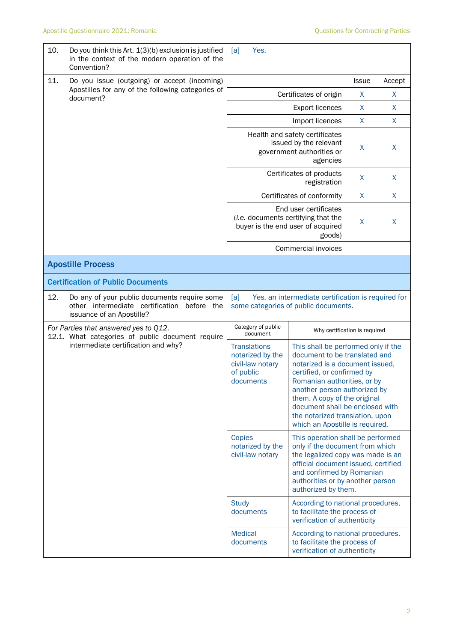| 10.                                                                                                                              | Do you think this Art. $1(3)(b)$ exclusion is justified<br>in the context of the modern operation of the<br>Convention?     | Yes.<br>[a]                                                                                       |                                                                                                                                                                                                                                                                                                                                               |              |        |
|----------------------------------------------------------------------------------------------------------------------------------|-----------------------------------------------------------------------------------------------------------------------------|---------------------------------------------------------------------------------------------------|-----------------------------------------------------------------------------------------------------------------------------------------------------------------------------------------------------------------------------------------------------------------------------------------------------------------------------------------------|--------------|--------|
| 11.                                                                                                                              | Do you issue (outgoing) or accept (incoming)                                                                                |                                                                                                   |                                                                                                                                                                                                                                                                                                                                               | <b>Issue</b> | Accept |
|                                                                                                                                  | Apostilles for any of the following categories of<br>document?                                                              |                                                                                                   | Certificates of origin                                                                                                                                                                                                                                                                                                                        | X            | X      |
|                                                                                                                                  |                                                                                                                             |                                                                                                   | <b>Export licences</b>                                                                                                                                                                                                                                                                                                                        | X            | X      |
|                                                                                                                                  |                                                                                                                             |                                                                                                   | Import licences                                                                                                                                                                                                                                                                                                                               | $\mathsf{X}$ | X      |
|                                                                                                                                  |                                                                                                                             | Health and safety certificates<br>issued by the relevant<br>government authorities or             | X                                                                                                                                                                                                                                                                                                                                             | X            |        |
|                                                                                                                                  |                                                                                                                             |                                                                                                   | Certificates of products<br>registration                                                                                                                                                                                                                                                                                                      | X            | X      |
|                                                                                                                                  |                                                                                                                             |                                                                                                   | Certificates of conformity                                                                                                                                                                                                                                                                                                                    | $\mathsf{X}$ | X      |
|                                                                                                                                  |                                                                                                                             |                                                                                                   | End user certificates<br>(i.e. documents certifying that the<br>buyer is the end user of acquired<br>goods)                                                                                                                                                                                                                                   | X            | X      |
|                                                                                                                                  |                                                                                                                             | Commercial invoices                                                                               |                                                                                                                                                                                                                                                                                                                                               |              |        |
|                                                                                                                                  | <b>Apostille Process</b>                                                                                                    |                                                                                                   |                                                                                                                                                                                                                                                                                                                                               |              |        |
|                                                                                                                                  | <b>Certification of Public Documents</b>                                                                                    |                                                                                                   |                                                                                                                                                                                                                                                                                                                                               |              |        |
| 12.                                                                                                                              | Do any of your public documents require some<br>other intermediate certification<br>before the<br>issuance of an Apostille? | Yes, an intermediate certification is required for<br>[a]<br>some categories of public documents. |                                                                                                                                                                                                                                                                                                                                               |              |        |
| For Parties that answered yes to Q12.<br>12.1. What categories of public document require<br>intermediate certification and why? |                                                                                                                             | Category of public<br>document                                                                    | Why certification is required                                                                                                                                                                                                                                                                                                                 |              |        |
|                                                                                                                                  |                                                                                                                             | <b>Translations</b><br>notarized by the<br>civil-law notary<br>of public<br>documents             | This shall be performed only if the<br>document to be translated and<br>notarized is a document issued,<br>certified, or confirmed by<br>Romanian authorities, or by<br>another person authorized by<br>them. A copy of the original<br>document shall be enclosed with<br>the notarized translation, upon<br>which an Apostille is required. |              |        |
|                                                                                                                                  |                                                                                                                             | Copies<br>notarized by the<br>civil-law notary                                                    | This operation shall be performed<br>only if the document from which<br>the legalized copy was made is an<br>official document issued, certified<br>and confirmed by Romanian<br>authorities or by another person<br>authorized by them.                                                                                                      |              |        |
|                                                                                                                                  |                                                                                                                             | <b>Study</b><br>documents                                                                         | According to national procedures,<br>to facilitate the process of<br>verification of authenticity                                                                                                                                                                                                                                             |              |        |
|                                                                                                                                  |                                                                                                                             | <b>Medical</b><br>documents                                                                       | According to national procedures,<br>to facilitate the process of<br>verification of authenticity                                                                                                                                                                                                                                             |              |        |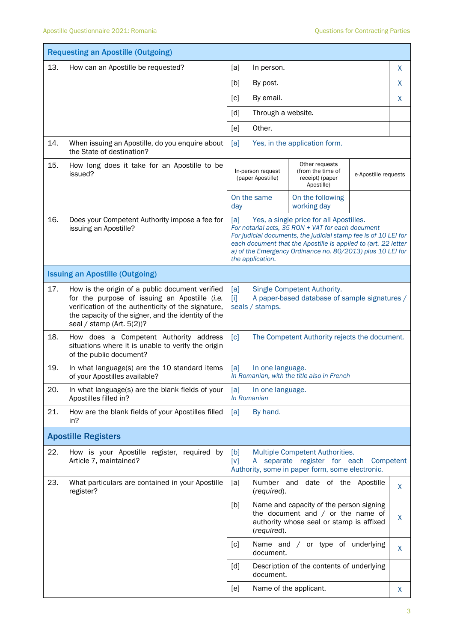| <b>Requesting an Apostille (Outgoing)</b> |                                                                                                                                                                                                                                               |                                                                                                                                                                                                                                                                                                                            |   |  |
|-------------------------------------------|-----------------------------------------------------------------------------------------------------------------------------------------------------------------------------------------------------------------------------------------------|----------------------------------------------------------------------------------------------------------------------------------------------------------------------------------------------------------------------------------------------------------------------------------------------------------------------------|---|--|
| 13.                                       | How can an Apostille be requested?                                                                                                                                                                                                            | [a]<br>In person.                                                                                                                                                                                                                                                                                                          | X |  |
|                                           |                                                                                                                                                                                                                                               | [b]<br>By post.                                                                                                                                                                                                                                                                                                            | X |  |
|                                           |                                                                                                                                                                                                                                               | By email.<br>$\lceil c \rceil$                                                                                                                                                                                                                                                                                             | X |  |
|                                           |                                                                                                                                                                                                                                               | Through a website.<br>[d]                                                                                                                                                                                                                                                                                                  |   |  |
|                                           |                                                                                                                                                                                                                                               | Other.<br>[e]                                                                                                                                                                                                                                                                                                              |   |  |
| 14.                                       | When issuing an Apostille, do you enquire about<br>the State of destination?                                                                                                                                                                  | Yes, in the application form.<br>[a]                                                                                                                                                                                                                                                                                       |   |  |
| 15.                                       | How long does it take for an Apostille to be<br>issued?                                                                                                                                                                                       | Other requests<br>In-person request<br>(from the time of<br>e-Apostille requests<br>(paper Apostille)<br>receipt) (paper<br>Apostille)                                                                                                                                                                                     |   |  |
|                                           |                                                                                                                                                                                                                                               | On the same<br>On the following<br>working day<br>day                                                                                                                                                                                                                                                                      |   |  |
| 16.                                       | Does your Competent Authority impose a fee for<br>issuing an Apostille?                                                                                                                                                                       | Yes, a single price for all Apostilles.<br>[a]<br>For notarial acts, 35 RON + VAT for each document<br>For judicial documents, the judicial stamp fee is of 10 LEI for<br>each document that the Apostille is applied to (art. 22 letter<br>a) of the Emergency Ordinance no. 80/2013) plus 10 LEI for<br>the application. |   |  |
|                                           | <b>Issuing an Apostille (Outgoing)</b>                                                                                                                                                                                                        |                                                                                                                                                                                                                                                                                                                            |   |  |
| 17.                                       | How is the origin of a public document verified<br>for the purpose of issuing an Apostille (i.e.<br>verification of the authenticity of the signature,<br>the capacity of the signer, and the identity of the<br>seal / stamp (Art. $5(2)$ )? | Single Competent Authority.<br>[a]<br>A paper-based database of sample signatures /<br>$\mathbf{H}$<br>seals / stamps.                                                                                                                                                                                                     |   |  |
| 18.                                       | How does a Competent Authority address<br>situations where it is unable to verify the origin<br>of the public document?                                                                                                                       | $\lceil c \rceil$<br>The Competent Authority rejects the document.                                                                                                                                                                                                                                                         |   |  |
| 19.                                       | In what language(s) are the 10 standard items<br>of your Apostilles available?                                                                                                                                                                | [a]<br>In one language.<br>In Romanian, with the title also in French                                                                                                                                                                                                                                                      |   |  |
| 20.                                       | In what language(s) are the blank fields of your<br>Apostilles filled in?                                                                                                                                                                     | In one language.<br>[a]<br>In Romanian                                                                                                                                                                                                                                                                                     |   |  |
| 21.                                       | How are the blank fields of your Apostilles filled<br>in?                                                                                                                                                                                     | By hand.<br>[a]                                                                                                                                                                                                                                                                                                            |   |  |
|                                           | <b>Apostille Registers</b>                                                                                                                                                                                                                    |                                                                                                                                                                                                                                                                                                                            |   |  |
| 22.                                       | How is your Apostille register, required by<br>Article 7, maintained?                                                                                                                                                                         | Multiple Competent Authorities.<br>[b]<br>A separate register for each Competent<br>[v]<br>Authority, some in paper form, some electronic.                                                                                                                                                                                 |   |  |
| 23.                                       | What particulars are contained in your Apostille<br>register?                                                                                                                                                                                 | Number and date of the Apostille<br>[a]<br>(required).                                                                                                                                                                                                                                                                     | X |  |
|                                           |                                                                                                                                                                                                                                               | Name and capacity of the person signing<br>[b]<br>the document and $/$ or the name of<br>authority whose seal or stamp is affixed<br>(required).                                                                                                                                                                           | X |  |
|                                           |                                                                                                                                                                                                                                               | Name and / or type of underlying<br>[c]<br>document.                                                                                                                                                                                                                                                                       | X |  |
|                                           |                                                                                                                                                                                                                                               | Description of the contents of underlying<br>[d]<br>document.                                                                                                                                                                                                                                                              |   |  |
|                                           |                                                                                                                                                                                                                                               | Name of the applicant.<br>[e]                                                                                                                                                                                                                                                                                              | X |  |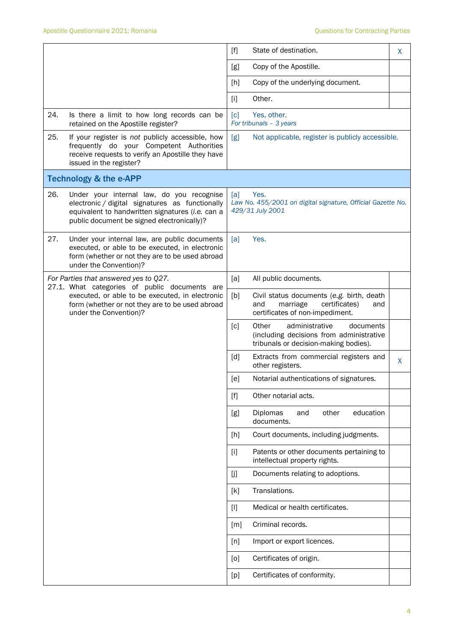|     |                                                                                                                                                                                                | $[f]$             | State of destination.                                                                                                     | X |
|-----|------------------------------------------------------------------------------------------------------------------------------------------------------------------------------------------------|-------------------|---------------------------------------------------------------------------------------------------------------------------|---|
|     |                                                                                                                                                                                                | [g]               | Copy of the Apostille.                                                                                                    |   |
|     |                                                                                                                                                                                                | [h]               | Copy of the underlying document.                                                                                          |   |
|     |                                                                                                                                                                                                | $[1]$             | Other.                                                                                                                    |   |
| 24. | Is there a limit to how long records can be<br>retained on the Apostille register?                                                                                                             | $\lceil c \rceil$ | Yes, other.<br>For tribunals - 3 years                                                                                    |   |
| 25. | If your register is not publicly accessible, how<br>frequently do your Competent Authorities<br>receive requests to verify an Apostille they have<br>issued in the register?                   | [g]               | Not applicable, register is publicly accessible.                                                                          |   |
|     | <b>Technology &amp; the e-APP</b>                                                                                                                                                              |                   |                                                                                                                           |   |
| 26. | Under your internal law, do you recognise<br>electronic / digital signatures as functionally<br>equivalent to handwritten signatures (i.e. can a<br>public document be signed electronically)? | [a]               | Yes.<br>Law No. 455/2001 on digital signature, Official Gazette No.<br>429/31 July 2001                                   |   |
| 27. | Under your internal law, are public documents<br>executed, or able to be executed, in electronic<br>form (whether or not they are to be used abroad<br>under the Convention)?                  | [a]               | Yes.                                                                                                                      |   |
|     | For Parties that answered yes to Q27.<br>27.1. What categories of public documents are                                                                                                         | [a]               | All public documents.                                                                                                     |   |
|     | executed, or able to be executed, in electronic<br>form (whether or not they are to be used abroad<br>under the Convention)?                                                                   | [b]               | Civil status documents (e.g. birth, death<br>and<br>marriage<br>certificates)<br>and<br>certificates of non-impediment.   |   |
|     |                                                                                                                                                                                                | $\lceil c \rceil$ | Other<br>administrative<br>documents<br>(including decisions from administrative<br>tribunals or decision-making bodies). |   |
|     |                                                                                                                                                                                                | [d]               | Extracts from commercial registers and<br>other registers.                                                                | X |
|     |                                                                                                                                                                                                | [e]               | Notarial authentications of signatures.                                                                                   |   |
|     |                                                                                                                                                                                                | $[f]$             | Other notarial acts.                                                                                                      |   |
|     |                                                                                                                                                                                                | [g]               | Diplomas<br>other<br>education<br>and<br>documents.                                                                       |   |
|     |                                                                                                                                                                                                | [h]               | Court documents, including judgments.                                                                                     |   |
|     |                                                                                                                                                                                                | $[1]$             | Patents or other documents pertaining to<br>intellectual property rights.                                                 |   |
|     |                                                                                                                                                                                                | [j                | Documents relating to adoptions.                                                                                          |   |
|     |                                                                                                                                                                                                | [k]               | Translations.                                                                                                             |   |
|     |                                                                                                                                                                                                | $[1]$             | Medical or health certificates.                                                                                           |   |
|     |                                                                                                                                                                                                | [m]               | Criminal records.                                                                                                         |   |
|     |                                                                                                                                                                                                | [n]               | Import or export licences.                                                                                                |   |
|     |                                                                                                                                                                                                | [0]               | Certificates of origin.                                                                                                   |   |
|     |                                                                                                                                                                                                | [p]               | Certificates of conformity.                                                                                               |   |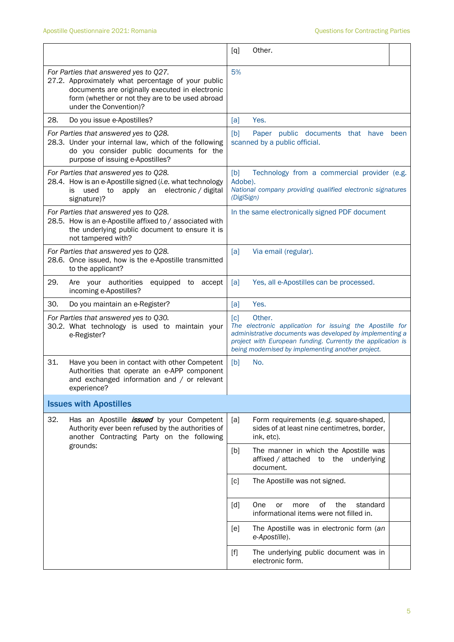|                                                                                                                                                                                                                             | Other.<br>[q]                                                                                                                                                                                                                                                           |  |  |  |
|-----------------------------------------------------------------------------------------------------------------------------------------------------------------------------------------------------------------------------|-------------------------------------------------------------------------------------------------------------------------------------------------------------------------------------------------------------------------------------------------------------------------|--|--|--|
| For Parties that answered yes to Q27.<br>27.2. Approximately what percentage of your public<br>documents are originally executed in electronic<br>form (whether or not they are to be used abroad<br>under the Convention)? | 5%                                                                                                                                                                                                                                                                      |  |  |  |
| 28.<br>Do you issue e-Apostilles?                                                                                                                                                                                           | Yes.<br>[a]                                                                                                                                                                                                                                                             |  |  |  |
| For Parties that answered yes to Q28.<br>28.3. Under your internal law, which of the following<br>do you consider public documents for the<br>purpose of issuing e-Apostilles?                                              | [b]<br>Paper public documents that have<br>been<br>scanned by a public official.                                                                                                                                                                                        |  |  |  |
| For Parties that answered yes to Q28.<br>28.4. How is an e-Apostille signed (i.e. what technology<br>used<br>apply an<br>electronic / digital<br>to<br>is<br>signature)?                                                    | [b]<br>Technology from a commercial provider (e.g.<br>Adobe).<br>National company providing qualified electronic signatures<br>(DigiSign)                                                                                                                               |  |  |  |
| For Parties that answered yes to Q28.<br>28.5. How is an e-Apostille affixed to / associated with<br>the underlying public document to ensure it is<br>not tampered with?                                                   | In the same electronically signed PDF document                                                                                                                                                                                                                          |  |  |  |
| For Parties that answered yes to Q28.<br>28.6. Once issued, how is the e-Apostille transmitted<br>to the applicant?                                                                                                         | [a]<br>Via email (regular).                                                                                                                                                                                                                                             |  |  |  |
| 29.<br>Are your authorities<br>equipped to<br>accept<br>incoming e-Apostilles?                                                                                                                                              | Yes, all e-Apostilles can be processed.<br>[a]                                                                                                                                                                                                                          |  |  |  |
| 30.<br>Do you maintain an e-Register?                                                                                                                                                                                       | Yes.<br>[a]                                                                                                                                                                                                                                                             |  |  |  |
| For Parties that answered yes to Q30.<br>30.2. What technology is used to maintain your<br>e-Register?                                                                                                                      | Other.<br>$\lceil c \rceil$<br>The electronic application for issuing the Apostille for<br>administrative documents was developed by implementing a<br>project with European funding. Currently the application is<br>being modernised by implementing another project. |  |  |  |
| 31.<br>Have you been in contact with other Competent<br>Authorities that operate an e-APP component<br>and exchanged information and / or relevant<br>experience?                                                           | [b]<br>No.                                                                                                                                                                                                                                                              |  |  |  |
| <b>Issues with Apostilles</b>                                                                                                                                                                                               |                                                                                                                                                                                                                                                                         |  |  |  |
| 32.<br>Has an Apostille <i>issued</i> by your Competent<br>Authority ever been refused by the authorities of<br>another Contracting Party on the following                                                                  | [a]<br>Form requirements (e.g. square-shaped,<br>sides of at least nine centimetres, border,<br>ink, etc).                                                                                                                                                              |  |  |  |
| grounds:                                                                                                                                                                                                                    | The manner in which the Apostille was<br>[b]<br>affixed / attached<br>to<br>the<br>underlying<br>document.                                                                                                                                                              |  |  |  |
|                                                                                                                                                                                                                             | [c]<br>The Apostille was not signed.                                                                                                                                                                                                                                    |  |  |  |
|                                                                                                                                                                                                                             | οf<br>the<br>standard<br>[d]<br>One<br>or<br>more<br>informational items were not filled in.                                                                                                                                                                            |  |  |  |
|                                                                                                                                                                                                                             | The Apostille was in electronic form (an<br>[e]<br>e-Apostille).                                                                                                                                                                                                        |  |  |  |
|                                                                                                                                                                                                                             | The underlying public document was in<br>$[f]$<br>electronic form.                                                                                                                                                                                                      |  |  |  |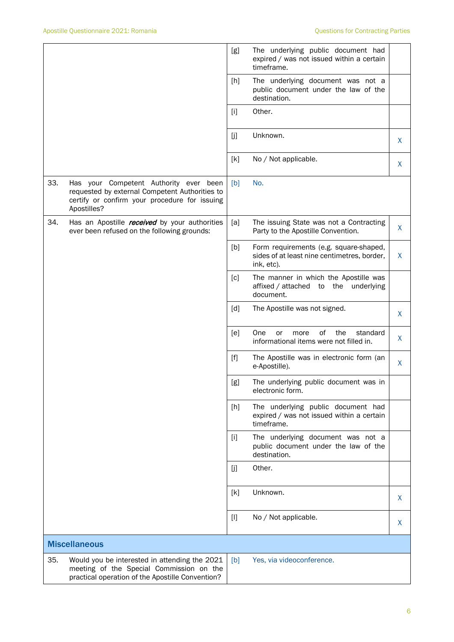|     |                                                                                                                                                          | [g]   | The underlying public document had<br>expired / was not issued within a certain<br>timeframe.       |    |
|-----|----------------------------------------------------------------------------------------------------------------------------------------------------------|-------|-----------------------------------------------------------------------------------------------------|----|
|     |                                                                                                                                                          | [h]   | The underlying document was not a<br>public document under the law of the<br>destination.           |    |
|     |                                                                                                                                                          | $[1]$ | Other.                                                                                              |    |
|     |                                                                                                                                                          | Ιj]   | Unknown.                                                                                            | X. |
|     |                                                                                                                                                          | [k]   | No / Not applicable.                                                                                | X  |
| 33. | Has your Competent Authority ever been<br>requested by external Competent Authorities to<br>certify or confirm your procedure for issuing<br>Apostilles? | [b]   | No.                                                                                                 |    |
| 34. | Has an Apostille <i>received</i> by your authorities<br>ever been refused on the following grounds:                                                      | [a]   | The issuing State was not a Contracting<br>Party to the Apostille Convention.                       | X  |
|     |                                                                                                                                                          | [b]   | Form requirements (e.g. square-shaped,<br>sides of at least nine centimetres, border,<br>ink, etc). | X  |
|     |                                                                                                                                                          | [c]   | The manner in which the Apostille was<br>affixed / attached<br>the<br>to<br>underlying<br>document. |    |
|     |                                                                                                                                                          | [d]   | The Apostille was not signed.                                                                       | X  |
|     |                                                                                                                                                          | [e]   | 0f<br>the<br>standard<br>One<br>or<br>more<br>informational items were not filled in.               | X  |
|     |                                                                                                                                                          | $[f]$ | The Apostille was in electronic form (an<br>e-Apostille).                                           | X  |
|     |                                                                                                                                                          | [g]   | The underlying public document was in<br>electronic form.                                           |    |
|     |                                                                                                                                                          | [h]   | The underlying public document had<br>expired / was not issued within a certain<br>timeframe.       |    |
|     |                                                                                                                                                          | $[1]$ | The underlying document was not a<br>public document under the law of the<br>destination.           |    |
|     |                                                                                                                                                          | $[]$  | Other.                                                                                              |    |
|     |                                                                                                                                                          | [k]   | Unknown.                                                                                            | X  |
|     |                                                                                                                                                          | $[1]$ | No / Not applicable.                                                                                | X  |
|     | <b>Miscellaneous</b>                                                                                                                                     |       |                                                                                                     |    |
| 35. | Would you be interested in attending the 2021<br>meeting of the Special Commission on the<br>practical operation of the Apostille Convention?            | [b]   | Yes, via videoconference.                                                                           |    |